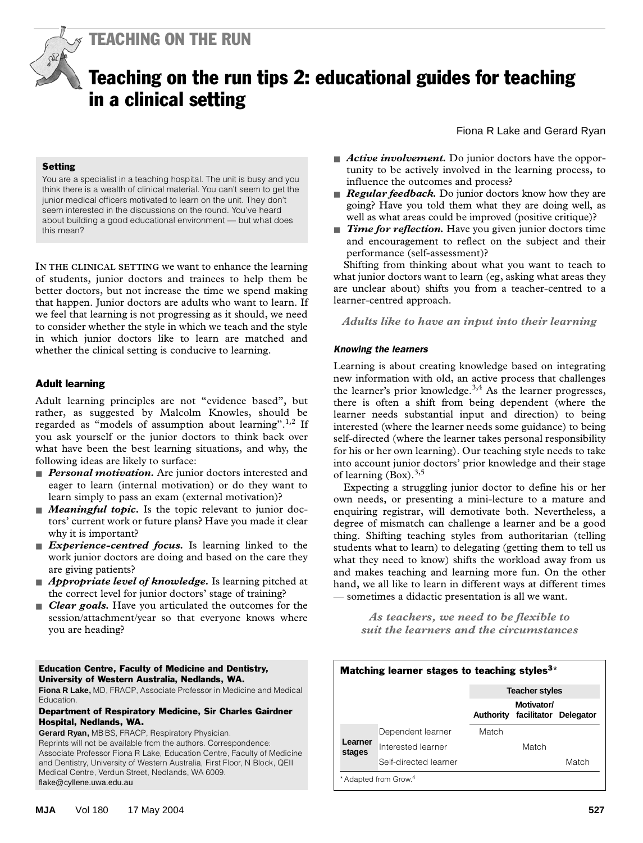TEACHING ON THE RUN

# Teaching on the run tips 2: educational guides for teaching in a clinical setting

#### **Setting**

You are a specialist in a teaching hospital. The unit is busy and you think there is a wealth of clinical material. You can't seem to get the junior medical officers motivated to learn on the unit. They don't seem interested in the discussions on the round. You've heard about building a good educational environment — but what does this mean?

of students, junior doctors and trainees to help them be better doctors, but not increase the time we spend making that happen. Junior doctors are adults who want to learn. If we feel that learning is not progressing as it should, we need **IN THE CLINICAL SETTING** we want to enhance the learning to consider whether the style in which we teach and the style in which junior doctors like to learn are matched and whether the clinical setting is conducive to learning.

#### Adult learning

Adult learning principles are not "evidence based", but rather, as suggested by Malcolm Knowles, should be regarded as "models of assumption about learning".<sup>1,2</sup> If you ask yourself or the junior doctors to think back over what have been the best learning situations, and why, the following ideas are likely to surface:

- *Personal motivation*. Are junior doctors interested and eager to learn (internal motivation) or do they want to learn simply to pass an exam (external motivation)?
- *Meaningful topic*. Is the topic relevant to junior doctors' current work or future plans? Have you made it clear why it is important?
- *Experience-centred focus*. Is learning linked to the work junior doctors are doing and based on the care they are giving patients?
- *Appropriate level of knowledge*. Is learning pitched at the correct level for junior doctors' stage of training?
- *Clear goals*. Have you articulated the outcomes for the session/attachment/year so that everyone knows where you are heading?

#### Education Centre, Faculty of Medicine and Dentistry, University of Western Australia, Nedlands, WA.

**Fiona R Lake,** MD, FRACP, Associate Professor in Medicine and Medical Education.

#### Department of Respiratory Medicine, Sir Charles Gairdner Hospital, Nedlands, WA.

**Gerard Ryan,** MB BS, FRACP, Respiratory Physician. Reprints will not be available from the authors. Correspondence: Associate Professor Fiona R Lake, Education Centre, Faculty of Medicine and Dentistry, University of Western Australia, First Floor, N Block, QEII Medical Centre, Verdun Street, Nedlands, WA 6009. flake@cyllene.uwa.edu.au

- *Active involvement*. Do junior doctors have the opportunity to be actively involved in the learning process, to influence the outcomes and process?
- *Regular feedback.* Do junior doctors know how they are going? Have you told them what they are doing well, as well as what areas could be improved (positive critique)?
- *Time for reflection*. Have you given junior doctors time and encouragement to reflect on the subject and their performance (self-assessment)?

Shifting from thinking about what you want to teach to what junior doctors want to learn (eg, asking what areas they are unclear about) shifts you from a teacher-centred to a learner-centred approach.

*Adults like to have an input into their learning*

## *Knowing the learners*

Learning is about creating knowledge based on integrating new information with old, an active process that challenges the learner's prior knowledge.<sup>3,4</sup> As the learner progresses, there is often a shift from being dependent (where the learner needs substantial input and direction) to being interested (where the learner needs some guidance) to being self-directed (where the learner takes personal responsibility for his or her own learning). Our teaching style needs to take into account junior doctors' prior knowledge and their stage of learning  $(Box)^{3,5}$ 

Expecting a struggling junior doctor to define his or her own needs, or presenting a mini-lecture to a mature and enquiring registrar, will demotivate both. Nevertheless, a degree of mismatch can challenge a learner and be a good thing. Shifting teaching styles from authoritarian (telling students what to learn) to delegating (getting them to tell us what they need to know) shifts the workload away from us and makes teaching and learning more fun. On the other hand, we all like to learn in different ways at different times — sometimes a didactic presentation is all we want.

> *As teachers, we need to be flexible to suit the learners and the circumstances*